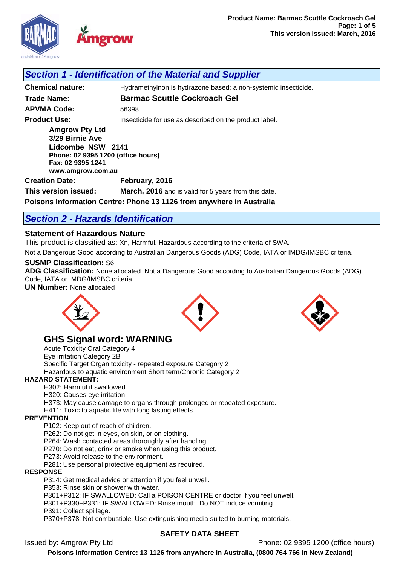

## *Section 1 - Identification of the Material and Supplier*

**Chemical nature:** Hydramethylnon is hydrazone based; a non-systemic insecticide. **Trade Name: Barmac Scuttle Cockroach Gel APVMA Code:** 56398 **Product Use: Insecticide for use as described on the product label. Amgrow Pty Ltd 3/29 Birnie Ave Lidcombe NSW 2141 Phone: 02 9395 1200 (office hours)**

**Fax: 02 9395 1241 www.amgrow.com.au**

**Creation Date: February, 2016**

**This version issued: March, 2016** and is valid for 5 years from this date.

**Poisons Information Centre: Phone 13 1126 from anywhere in Australia**

# *Section 2 - Hazards Identification*

## **Statement of Hazardous Nature**

This product is classified as: Xn, Harmful. Hazardous according to the criteria of SWA.

Not a Dangerous Good according to Australian Dangerous Goods (ADG) Code, IATA or IMDG/IMSBC criteria.

### **SUSMP Classification:** S6

**ADG Classification:** None allocated. Not a Dangerous Good according to Australian Dangerous Goods (ADG) Code, IATA or IMDG/IMSBC criteria.

**UN Number:** None allocated







## **GHS Signal word: WARNING**

Acute Toxicity Oral Category 4 Eye irritation Category 2B Specific Target Organ toxicity - repeated exposure Category 2 Hazardous to aquatic environment Short term/Chronic Category 2

### **HAZARD STATEMENT:**

H302: Harmful if swallowed.

H320: Causes eye irritation.

H373: May cause damage to organs through prolonged or repeated exposure.

H411: Toxic to aquatic life with long lasting effects.

#### **PREVENTION**

P102: Keep out of reach of children.

P262: Do not get in eyes, on skin, or on clothing.

P264: Wash contacted areas thoroughly after handling.

P270: Do not eat, drink or smoke when using this product.

P273: Avoid release to the environment.

P281: Use personal protective equipment as required.

#### **RESPONSE**

P314: Get medical advice or attention if you feel unwell.

P353: Rinse skin or shower with water.

P301+P312: IF SWALLOWED: Call a POISON CENTRE or doctor if you feel unwell.

P301+P330+P331: IF SWALLOWED: Rinse mouth. Do NOT induce vomiting.

P391: Collect spillage.

P370+P378: Not combustible. Use extinguishing media suited to burning materials.

### **SAFETY DATA SHEET**

Issued by: Amgrow Pty Ltd Phone: 02 9395 1200 (office hours)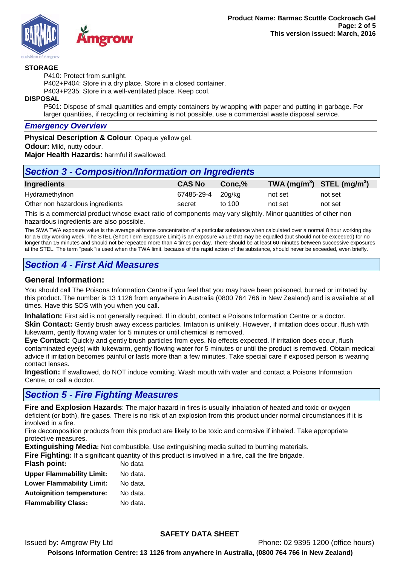

#### **STORAGE**

P410: Protect from sunlight.

P402+P404: Store in a dry place. Store in a closed container.

P403+P235: Store in a well-ventilated place. Keep cool.

**DISPOSAL**

P501: Dispose of small quantities and empty containers by wrapping with paper and putting in garbage. For larger quantities, if recycling or reclaiming is not possible, use a commercial waste disposal service.

#### *Emergency Overview*

**Physical Description & Colour**: Opaque yellow gel. **Odour:** Mild, nutty odour. **Major Health Hazards:** harmful if swallowed.

## *Section 3 - Composition/Information on Ingredients*

| Ingredients                     | <b>CAS No</b>     | Conc.% | TWA (mg/m <sup>3</sup> ) STEL (mg/m <sup>3</sup> ) |         |
|---------------------------------|-------------------|--------|----------------------------------------------------|---------|
| Hydramethylnon                  | 67485-29-4 20g/kg |        | not set                                            | not set |
| Other non hazardous ingredients | secret            | to 100 | not set                                            | not set |

This is a commercial product whose exact ratio of components may vary slightly. Minor quantities of other non hazardous ingredients are also possible.

The SWA TWA exposure value is the average airborne concentration of a particular substance when calculated over a normal 8 hour working day for a 5 day working week. The STEL (Short Term Exposure Limit) is an exposure value that may be equalled (but should not be exceeded) for no longer than 15 minutes and should not be repeated more than 4 times per day. There should be at least 60 minutes between successive exposures at the STEL. The term "peak "is used when the TWA limit, because of the rapid action of the substance, should never be exceeded, even briefly.

## *Section 4 - First Aid Measures*

## **General Information:**

You should call The Poisons Information Centre if you feel that you may have been poisoned, burned or irritated by this product. The number is 13 1126 from anywhere in Australia (0800 764 766 in New Zealand) and is available at all times. Have this SDS with you when you call.

**Inhalation:** First aid is not generally required. If in doubt, contact a Poisons Information Centre or a doctor. **Skin Contact:** Gently brush away excess particles. Irritation is unlikely. However, if irritation does occur, flush with lukewarm, gently flowing water for 5 minutes or until chemical is removed.

**Eye Contact:** Quickly and gently brush particles from eyes. No effects expected. If irritation does occur, flush contaminated eye(s) with lukewarm, gently flowing water for 5 minutes or until the product is removed. Obtain medical advice if irritation becomes painful or lasts more than a few minutes. Take special care if exposed person is wearing contact lenses.

**Ingestion:** If swallowed, do NOT induce vomiting. Wash mouth with water and contact a Poisons Information Centre, or call a doctor.

# *Section 5 - Fire Fighting Measures*

**Fire and Explosion Hazards**: The major hazard in fires is usually inhalation of heated and toxic or oxygen deficient (or both), fire gases. There is no risk of an explosion from this product under normal circumstances if it is involved in a fire.

Fire decomposition products from this product are likely to be toxic and corrosive if inhaled. Take appropriate protective measures.

**Extinguishing Media:** Not combustible. Use extinguishing media suited to burning materials. **Fire Fighting:** If a significant quantity of this product is involved in a fire, call the fire brigade.

| 1 11 <b>0 1 1911 1111 191</b> 11 a oighinneach gaarnity or t |          |
|--------------------------------------------------------------|----------|
| <b>Flash point:</b>                                          | No data  |
| <b>Upper Flammability Limit:</b>                             | No data. |
| <b>Lower Flammability Limit:</b>                             | No data. |
| <b>Autoignition temperature:</b>                             | No data. |
| <b>Flammability Class:</b>                                   | No data. |
|                                                              |          |

## **SAFETY DATA SHEET**

Issued by: Amgrow Pty Ltd Phone: 02 9395 1200 (office hours)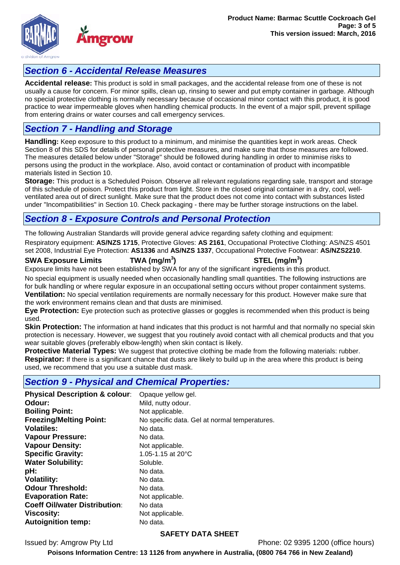

# *Section 6 - Accidental Release Measures*

**Accidental release:** This product is sold in small packages, and the accidental release from one of these is not usually a cause for concern. For minor spills, clean up, rinsing to sewer and put empty container in garbage. Although no special protective clothing is normally necessary because of occasional minor contact with this product, it is good practice to wear impermeable gloves when handling chemical products. In the event of a major spill, prevent spillage from entering drains or water courses and call emergency services.

# *Section 7 - Handling and Storage*

**Handling:** Keep exposure to this product to a minimum, and minimise the quantities kept in work areas. Check Section 8 of this SDS for details of personal protective measures, and make sure that those measures are followed. The measures detailed below under "Storage" should be followed during handling in order to minimise risks to persons using the product in the workplace. Also, avoid contact or contamination of product with incompatible materials listed in Section 10.

**Storage:** This product is a Scheduled Poison. Observe all relevant regulations regarding sale, transport and storage of this schedule of poison. Protect this product from light. Store in the closed original container in a dry, cool, wellventilated area out of direct sunlight. Make sure that the product does not come into contact with substances listed under "Incompatibilities" in Section 10. Check packaging - there may be further storage instructions on the label.

# *Section 8 - Exposure Controls and Personal Protection*

The following Australian Standards will provide general advice regarding safety clothing and equipment:

Respiratory equipment: **AS/NZS 1715**, Protective Gloves: **AS 2161**, Occupational Protective Clothing: AS/NZS 4501 set 2008, Industrial Eye Protection: **AS1336** and **AS/NZS 1337**, Occupational Protective Footwear: **AS/NZS2210**.

### **SWA Exposure Limits TWA (mg/m<sup>3</sup>**

**) STEL (mg/m<sup>3</sup> )**

Exposure limits have not been established by SWA for any of the significant ingredients in this product.

No special equipment is usually needed when occasionally handling small quantities. The following instructions are for bulk handling or where regular exposure in an occupational setting occurs without proper containment systems. **Ventilation:** No special ventilation requirements are normally necessary for this product. However make sure that the work environment remains clean and that dusts are minimised.

**Eye Protection:** Eye protection such as protective glasses or goggles is recommended when this product is being used.

**Skin Protection:** The information at hand indicates that this product is not harmful and that normally no special skin protection is necessary. However, we suggest that you routinely avoid contact with all chemical products and that you wear suitable gloves (preferably elbow-length) when skin contact is likely.

**Protective Material Types:** We suggest that protective clothing be made from the following materials: rubber. **Respirator:** If there is a significant chance that dusts are likely to build up in the area where this product is being used, we recommend that you use a suitable dust mask.

## *Section 9 - Physical and Chemical Properties:*

| <b>Physical Description &amp; colour:</b> | Opaque yellow gel.                            |
|-------------------------------------------|-----------------------------------------------|
| Odour:                                    | Mild, nutty odour.                            |
| <b>Boiling Point:</b>                     | Not applicable.                               |
| <b>Freezing/Melting Point:</b>            | No specific data. Gel at normal temperatures. |
| <b>Volatiles:</b>                         | No data.                                      |
| <b>Vapour Pressure:</b>                   | No data.                                      |
| <b>Vapour Density:</b>                    | Not applicable.                               |
| <b>Specific Gravity:</b>                  | 1.05-1.15 at 20°C                             |
| <b>Water Solubility:</b>                  | Soluble.                                      |
| pH:                                       | No data.                                      |
| <b>Volatility:</b>                        | No data.                                      |
| <b>Odour Threshold:</b>                   | No data.                                      |
| <b>Evaporation Rate:</b>                  | Not applicable.                               |
| <b>Coeff Oil/water Distribution:</b>      | No data                                       |
| <b>Viscosity:</b>                         | Not applicable.                               |
| <b>Autoignition temp:</b>                 | No data.                                      |

## **SAFETY DATA SHEET**

Issued by: Amgrow Pty Ltd Phone: 02 9395 1200 (office hours)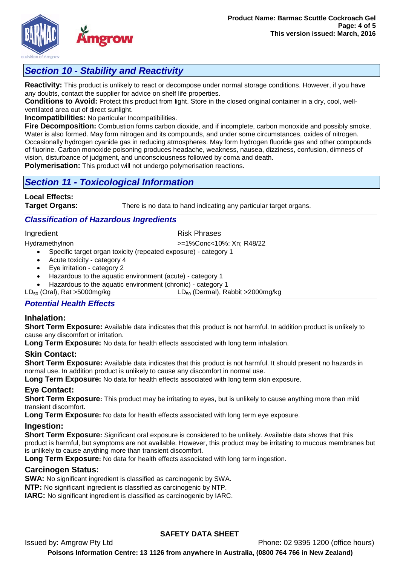

**Reactivity:** This product is unlikely to react or decompose under normal storage conditions. However, if you have any doubts, contact the supplier for advice on shelf life properties.

**Conditions to Avoid:** Protect this product from light. Store in the closed original container in a dry, cool, wellventilated area out of direct sunlight.

**Incompatibilities:** No particular Incompatibilities.

**Fire Decomposition:** Combustion forms carbon dioxide, and if incomplete, carbon monoxide and possibly smoke. Water is also formed. May form nitrogen and its compounds, and under some circumstances, oxides of nitrogen. Occasionally hydrogen cyanide gas in reducing atmospheres. May form hydrogen fluoride gas and other compounds of fluorine. Carbon monoxide poisoning produces headache, weakness, nausea, dizziness, confusion, dimness of vision, disturbance of judgment, and unconsciousness followed by coma and death.

**Polymerisation:** This product will not undergo polymerisation reactions.

## *Section 11 - Toxicological Information*

**Local Effects:** 

**Target Organs:** There is no data to hand indicating any particular target organs.

## *Classification of Hazardous Ingredients*

#### Ingredient **Risk Phrases**

Hydramethylnon >=1%Conc<10%: Xn; R48/22

- Specific target organ toxicity (repeated exposure) category 1
- Acute toxicity category 4
- Eye irritation category 2
- Hazardous to the aquatic environment (acute) category 1
- Hazardous to the aquatic environment (chronic) category 1<br>LD<sub>50</sub> (Oral), Rat >5000mg/kg LD<sub>50</sub> (Dermal), Rat
	- $LD_{50}$  (Dermal), Rabbit >2000mg/kg

### *Potential Health Effects*

### **Inhalation:**

**Short Term Exposure:** Available data indicates that this product is not harmful. In addition product is unlikely to cause any discomfort or irritation.

**Long Term Exposure:** No data for health effects associated with long term inhalation.

### **Skin Contact:**

**Short Term Exposure:** Available data indicates that this product is not harmful. It should present no hazards in normal use. In addition product is unlikely to cause any discomfort in normal use.

**Long Term Exposure:** No data for health effects associated with long term skin exposure.

## **Eye Contact:**

**Short Term Exposure:** This product may be irritating to eyes, but is unlikely to cause anything more than mild transient discomfort.

**Long Term Exposure:** No data for health effects associated with long term eye exposure.

### **Ingestion:**

**Short Term Exposure:** Significant oral exposure is considered to be unlikely. Available data shows that this product is harmful, but symptoms are not available. However, this product may be irritating to mucous membranes but is unlikely to cause anything more than transient discomfort.

**Long Term Exposure:** No data for health effects associated with long term ingestion.

### **Carcinogen Status:**

**SWA:** No significant ingredient is classified as carcinogenic by SWA.

**NTP:** No significant ingredient is classified as carcinogenic by NTP.

**IARC:** No significant ingredient is classified as carcinogenic by IARC.

## **SAFETY DATA SHEET**

Issued by: Amgrow Pty Ltd Phone: 02 9395 1200 (office hours)